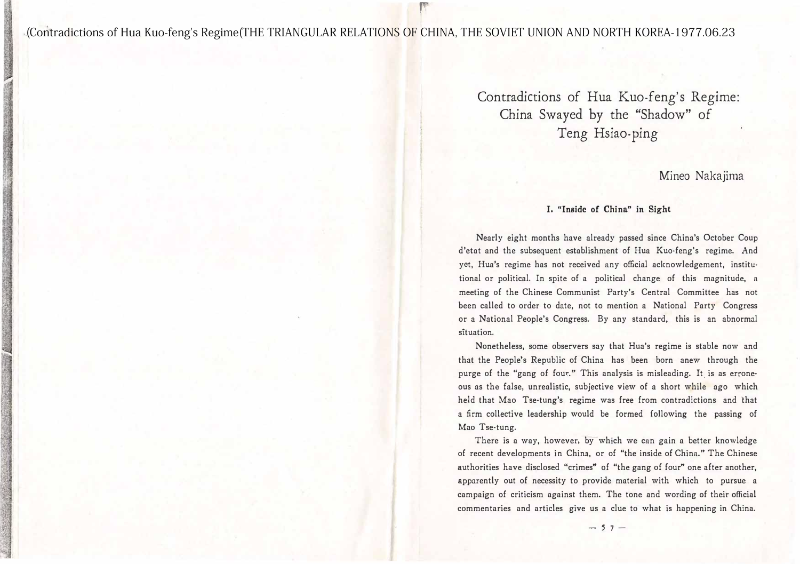. (Contradictions of Hua Kuo-feng's Regime(THE TRIANGULAR RELATIONS OF CHINA, THE SOVIET UNION AND NORTH KOREA-1977.06.23

F

Contradictions of Hua Kuo-feng's Regime: China Swayed by the "Shadow" of Teng Hsiao-ping

Mineo Nakajima

# I. "Inside of China" in Sight

Nearly eight months have already passed since China's October Coup d'etat and the subsequent establishment of Hua Kuo-feng's regime. And yet, Hua's regime has not received any official acknowledgement, institutional or political. In spite of a political change of this magnitude, a meeting of the Chinese Communist Party's Central Committee has not been called to order to date, not to mention a National Party Congress or a National People's Congress. By any standard, this is an abnormal situation.

Nonetheless, some observers say that Hua's regime is stable now and that the People's Republic of China has been born anew through the purge of the "gang of four." This analysis is misleading. It is as erroneous as the false, unrealistic, subjective view of a short while ago which held that Mao Tse-tung's regime was free from contradictions and that a firm collective leadership would be formed following the passing of Mao Tse-tung.

There is a way, however, by which we can gain a better knowledge of recent developments in China, or of "the inside of China." The Chinese authorities have disclosed "crimes" of "the gang of four" one after another, apparently out of necessity to provide material with which to pursue a campaign of criticism against them. The tone and wording of their official commentaries and articles give us a clue to what is happening in China.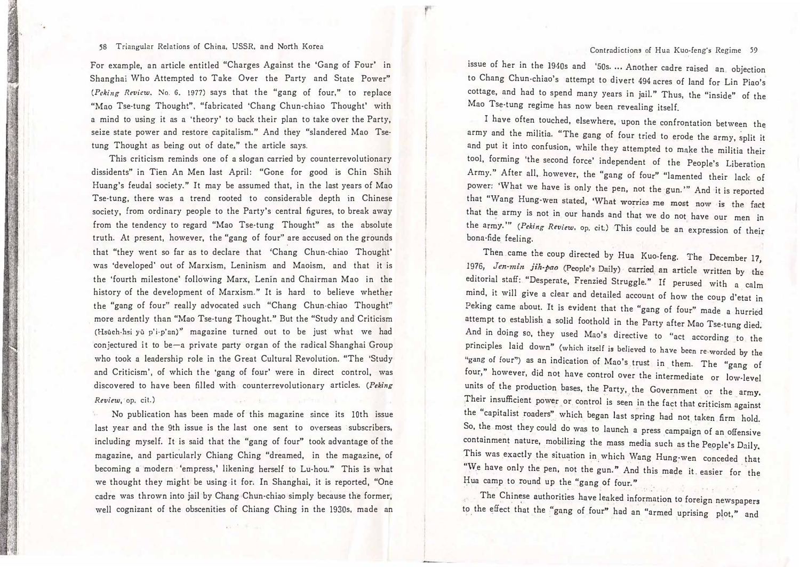## 58 Triangular Relations of China, USSR, and North Korea

For example, an article entitled "Charges Against the 'Gang of Four' in Shanghai Who Attempted to Take Over the Party and State Power" (Peking Review. No. 6. 1977) says that the "gang of four," to replace "Mao Tse-tung Thought", "fabricated 'Chang Chun-chiao Thought' with a mind to using it as a 'theory' to back their plan to take over the Party, seize state power and restore capitalism." And they "slandered Mao Tse· tung Thought as being out of date," the article says.

This criticism reminds one of a slogan carried by counterrevolutionary dissidents" in Tien An Men last April: "Gone for good is Chin Shih Huang's feudal society."It may be assumed that, in the last years of Mao Tse-tung, there was a trend rooted to considerable depth in Chinese society, from ordinary people to the Party's central figures, to break away from the tendency to regard "Mao Tse-tung Thought" as the absolute truth. At present, however, the "gang of four'' are accused on the grounds that "they went so far as to declare that 'Chang Chun·chiao Thought' was'developed' out of Marxism, Leninism and Maoism, and that it is the 'fourth milestone' following Marx, Lenin and Chairman Mao in the history of the development of Marxism."It is hard to believe whether the"gang of four" really advocated such "Chang Chun·chiao Thought" more ardently than "Mao Tse-tung Thought." But the "Study and Criticism (Hsueh-hsi yu p'i-p'an)" magazine turned out to be just what we had conjectured it to be-a private party organ of the radical Shanghai Group who took a leadership role in the Great Cultural Revolution. "The 'Study and Criticism', of which the 'gang of four' were in direct control, was discovered to have been filled with counterrevolutionary articles. (Peking Review, op. cit.)

No publication has been made of this magazine since its 10th issue last year and the 9th issue is the last one sent to overseas subscribers, including myself. It is said that the "gang of four" took advantage of the magazine, and particularly Chiang Ching "dreamed, in the magazine, of becoming a modern 'empress,' likening herself to Lu-hou." This is what we thought they might be using it for. In Shanghai, it is reported,"One cadre was thrown into jail by Chang Chun-chino simply because the former, well cognizant of the obscenities of Chiang Ching in the 1930s, made an

issue of her in the 1940s and '50s.…·Another cadre raised an objection to Chang Chun・chiao's attempt to divert 494 acres of land for Lin Piao's cottage, and had to spend many years in jail." Thus, the "inside" of the Mao Tse-tung regime has now been revealing itself.

I have often touched, elsewhere, upon the confrontation between the army and the militia. "The gang of four tried to erode the army, split it and put it into confusion, while they attempted to make the militia their tool, forming 'the second force' independent of the People's Liberation Army." After all, however, the "gang of four" "lamented their lack of power: 'What we have is only the pen, not the gun.'" And it is reported that "Wang Hung-wen stated, 'What worries me most now is the fact that the army is not in our hands and that we do not have our men <sup>j</sup><sup>n</sup> the army.'" (Peking Review, op. cit.) This could be an expression of their bona-fide feeling.

Then came the coup directed by Hua Kuo-feng. The December 17, 1976, Jen-min jih-pao (People's Daily) carried an article written by the editorial staff:"Desperate, Frenzied Struggle." If perused with a calm mind, it will give a clear and detailed account of how the coup d'etat in Peking came about. It is evident that the "gang of four" made a hurried attempt to establish a solid foothold in the Party after Mao Tse-tung died. And in doing so, they used Mao's directive to "act according to the principles laid down" (which itself is believed to have been re-worded by the "gang of four") as an indication of Mao's trust in them. The "gang of four," however, did not have control over the intermediate or low-level units of the production bases, the Party, the Government or the army. Their insufficient power or control is seen in the fact that criticism against the "capitalist roaders"which began last spring had not taken firm hold. So, the most they could do was to launch a press campaign of an offensive containment nature, mobilizing the mass media such as the People's Daily This was exactly the situation in which Wang Hung-wen conceded that "We have only the pen, not the gun." And this made it. easier for the Hua camp to round up the "gang of four."

The Chinese authorities have leaked information to foreign newspapers to the effect that the "gang of four" had an "armed uprising plot," and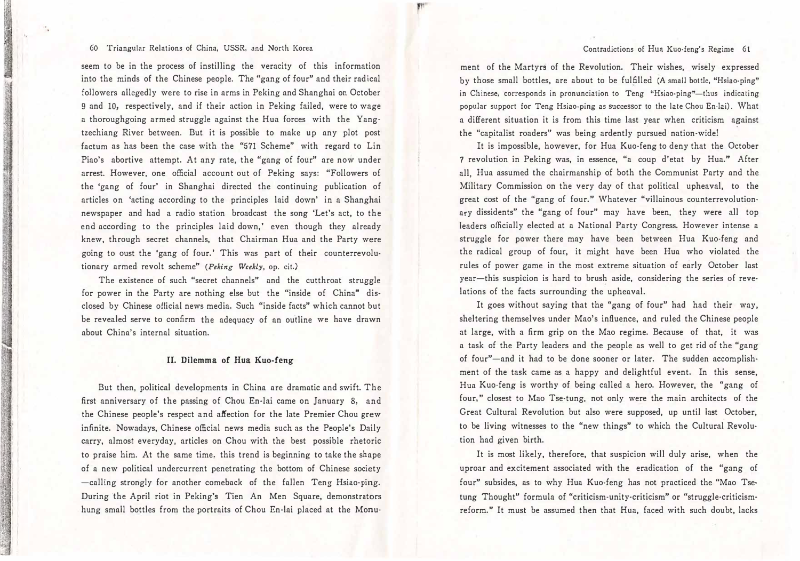### 60 Triangular Relations of China, USSR, and North Korea

seem to be in the process of instilling the veracity of this information into the minds of the Chinese people. The "gang of four" and their radical followers allegedly were to rise in arms in Peking and Shanghai on October 9 and 10, respectively, and if their action in Peking failed, were to wage a thoroughgoing armed struggle against the Hua forces with the Yangtzechiang River between. But it is possible to make up any plot post factum as has been the case with the "571 Scheme" with regard to Lin Piao's abortive attempt. At any rate, the "gang of four" are now under arrest. However, one official account out of Peking says: "Followers of the 'gang of four' in Shanghai directed the continuing publication of articles on 'acting according to the principles laid down' in a Shanghai newspaper and had a radio station broadcast the song'Let's act, to the end according to the principles laid down,' even though they already knew, through secret channels, that Chairman Hua and the Party were going to oust the 'gang of four.' This was part of their counterrevolutionary armed revolt scheme" (Peking Weekly, op. cit.)

The existence of such "secret channels" and the cutthroat struggle for power in the Party are nothing else but the "inside of China" disclosed by Chinese official news media. Such "inside facts" which cannot but be revealed serve to confirm the adequacy of an outline we have drawn about China's internal situation.

### II. Dilemma of Hua Kuo-feng

But then, political developments in China are dramatic and swift. The first anniversary of the passing of Chou En-lai came on January 8, and the Chinese people's respect and affection for the late Premier Chou grew infinite. Nowadays, Chinese official news media such as the People's Daily carry, almost everyday, articles on Chou with the best possible rhetoric to praise him. At the same time, this trend is beginning to take the shape of a new political undercurrent penetrating the bottom of Chinese society -calling strongly for another comeback of the fallen Teng Hsiao-ping. During the April riot in Peking's Tien An Men Square, demonstrators hung small bottles from the portraits of Chou En-lai placed at the Monu-

ment of the Martyrs of the Revolution. Their wishes, wisely expressed by those small bottles, are about to be fulfilled (A small bottle, "Hsiao-ping" in Chinese, corresponds in pronunciation to Teng "Hsiao-ping"-thus indicating popular support for Teng Hsiao・ping as successor to the late Chou En-lai). What a different situation it is from this time last year when criticism against the "capitalist roaders" was being ardently pursued nation-wide!

 $\mathbf{F}$ 

It is impossible, however, for Hua Kuo・feng to deny that the October 7 revolution in Peking was, in essence,"a coup d'etat by Hua." After all, Hua assumed the chairmanship of both the Communist Party and the Military Commission on the very day of that political upheaval, to the great cost of the "gang of four." Whatever "villainous counterrevolutionary dissidents" the "gang of four" may have been, they were all top leaders officially elected at a National Party Congress. However intense a struggle for power there may have been between Hua Kuo・feng and the radical group of four, it might have been Hua who violated the rules of power game in the most extreme situation of early October last year-this suspicion is hard to brush aside, considering the series of revelations of the facts surrounding the upheaval.

It goes without saying that the "gang of four" had had their way, sheltering themselves under Mao's influence, and ruled the Chinese people at large, with a firm grip on the Mao regime. Because of that, it was a task of the Party leaders and the people as well to get rid of the "gang of four"-and it had to be done sooner or later. The sudden accomplishment of the task came as a happy and delightful event. In this sense, Hua Kuo・feng is worthy of being called a hero. However, the "gang of four," closest to Mao Tse-tung, not only were the main architects of the Great Cultural Revolution but also were supposed, up until last October, to be living witnesses to the "new things" to which the Cultural Revolution had given birth.

It is most likely, therefore, that suspicion will duly arise, when the uproar and excitement associated with the eradication of the "gang of four" subsides, as to why Hua Kuo・feng has not practiced the "Mao Tse· tung Thought" formula of "criticism-unity-criticism" or "struggle-criticismreform." It must be assumed then that Hua, faced with such doubt, lacks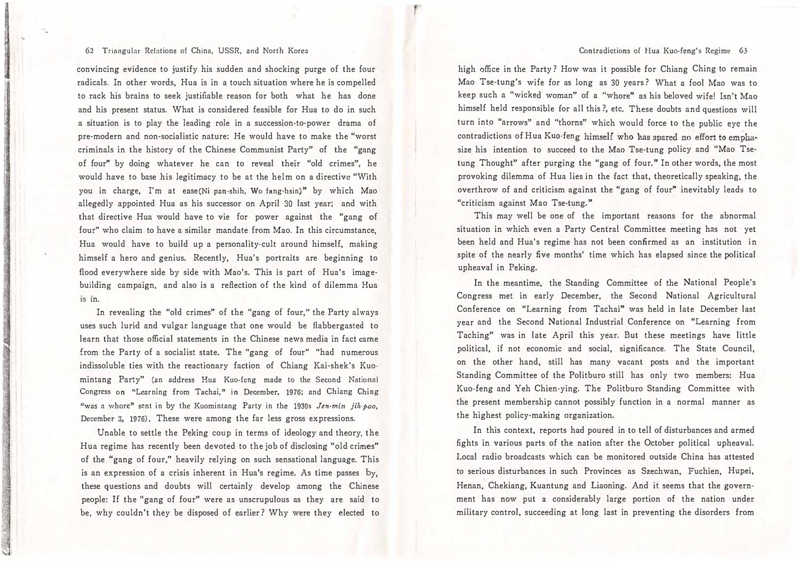#### 62 Triangular Relations of China, USSR, and North Korea

convincing evidence to justify his sudden and shocking purge of the four radicals. In other words, Hua is in a touch situation where he is compelled to rack his brains to seek justifiable reason for both what he has done and his present status. What is considered feasible for Hua to do in such a situation is to play the leading role in a succession-to-power drama of pre-modern and non-socialistic nature: He would have to make the "worst criminals in the history of the Chinese Communist Party" of the "gang of four" by doing whatever he can to reveal their "old crimes", he would have to base his legitimacy to be at the helm on a directive "With you in charge, I'm at ease(Ni pan-shih, Wo fang-hsin)" by which Mao allegedly appointed Hua as his successor on April 30 last year; and with that directive Hua would have to vie for power against the "gang of four" who claim to have a similar mandate from Mao. In this circumstance, Hua would have to build up a personality-cult around himself, making himself a hero and genius. Recently, Hua's portraits are beginning to flood everywhere side by side with Mao's. This is part of Hua's image· building campaign, and also is a reflection of the kind of dilemma Hua IS In.

In revealing the "old crimes" of the "gang of four," the Party always uses such lurid and vulgar language that one would be flabbergasted to learn that those official statements in the Chinese news media in fact came from the Party of a socialist state. The "gang of four" "had numerous indissoluble ties with the reactionary faction of Chiang Kai-shek's Kuomintang Party" (an address Hua Kuo-feng made to the Second National Congress on "Learning from Tachai," in December, 1976; and Chiang Ching "was a whore" sent in by the Kuomintang Party in the 1930s Jen-min jih-bao. December 3, 1976). These were among the far less gross expressions.

Unable to settle the Peking coup in terms of ideology and theory, the Hua regime has recently been devoted to the job of disclosing "old crimes" of the "gang of four," heavily relying on such sensational language. This is an expression of a crisis inherent in Hua's regime. As time passes by, these questions and doubts will certainly develop among the Chinese people: If the "gang of four" were as unscrupulous as they are said to be, why couldn't they be disposed of earlier? Why were they elected to

high office in the Party? How was it possible for Chiang Ching to remain Mao Tse-tung's wife for as long as 30 years ? What a fool Mao was to keep such a "wicked woman" of a "whore"as his beloved wife! Isn't Mao himself held responsible for all this?, etc. These doubts and questions will turn into"arrows" and "thorns" which would force to the public eye the contradictions of Hua Kuo-feng himself who has spared no effort to emphasize his intention to succeed to the Mao Tse-tung policy and "Mao Tse· tung Thought" after purging the "gang of four." In other words, the most provoking dilemma of Hua lies in the fact that, theoretically speaking, the overthrow of and criticism against the"gang of four" inevitably leads to "criticism against Mao Tse-tung."

This may well be one of the important reasons for the abnormal situation in which even a Party Central Committee meeting has not yet been held and Hua's regime has not been confirmed as an institution in spite of the nearly five months' time which has elapsed since the political upheaval in Peking.

In the meantime, the Standing Committee of the National People's Congress met in early December, the Second National Agricultural Conference on "Learning from Tachai" was held in late December last year and the Second National Industrial Conference on "Learning from Taching" was in late April this year. But these meetings have little political, if not economic and social, significance. The State Council, on the other hand, still has many vacant posts and the important Standing Committee of the Politburo still has only two members: Hua Kuo・feng and Yeh Chien-ying. The Politburo Standing Committee with the present membership cannot possibly function in a normal manner as the highest policy-making organization.

In this context, reports had poured in to tell of disturbances and armed fights in various parts of the nation after the October political upheaval. Local radio broadcasts which can be monitored outside China has attested to serious disturbances in such Provinces as Szechwan, Fuchien, Hupei, Henan, Chekiang, Kuantung and Liaoning. And it seems that the govern· ment has now put a considerably large portion of the nation under military control, succeeding at long last in preventing the disorders from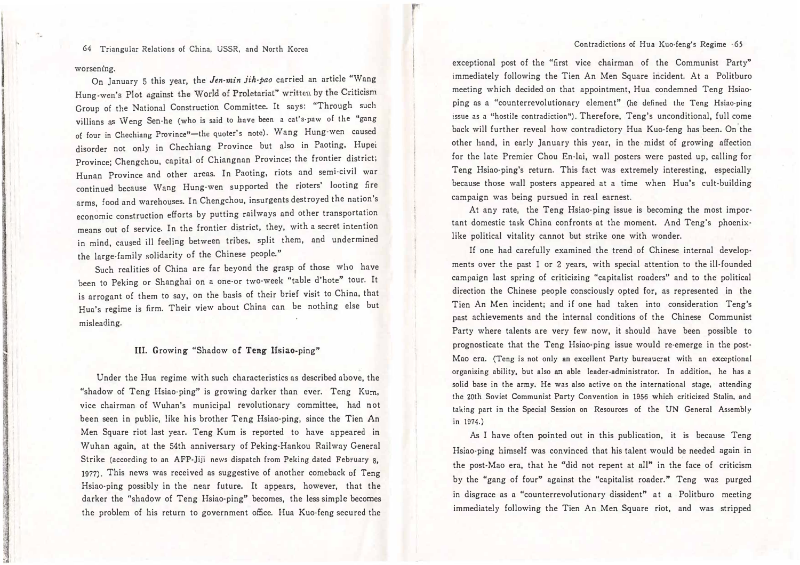64 Triangular Relations of China, USSR, and North Korea

#### worsening.

恥唖

On January 5 this year, the Jen-min jih-pao carried an article "Wang Hung-wen's Plot against the World of Proletariat" written by the Criticism Group of the National Construction Committee. It says: "Through such villians as Weng Sen-he (who is said to have been a cat's-paw of the "gang of four in Chechiang Province"-the quoter's note). Wang Hung-wen caused disorder not only in Chechiang Province but also in Paoting, Hupei Province; Chengchou, capital of Chiangnan Province; the frontier district; Hunan Province and other areas. In Paoting, riots and semi-civil war continued because Wang Hung-wen supported the rioters' looting fire arms, food and warehouses. In Chengchou, insurgents destroyed the nation's economic construction efforts by putting railways and other transportation means out of service. In the frontier district, they, with a secret intention in mind, caused ill feeling between tribes, split them, and undermined the large-family solidarity of the Chinese people."

Such realities of China are far beyond the grasp of those who have been to Peking or Shanghai on a one-or two-wee<sup>k</sup> "table d'hote" tour. It is arrogant of them to say, on the basis of their brief visit to China, that Hua's regime is firm. Their view about China can be nothing else but misleading.

# III. Growing "Shadow of Teng Hsiao・ping"

Under the Hua regime with such characteristics as described above, the "shadow of Teng Hsiao-ping" is growing darker than ever. Teng Kum, vice chairman of Wuhan's municipal revolutionary committee, had not been seen in public, like his brother Teng Hsiao-ping, since the Tien An Men Square riot last year. Teng Kum is reported to have appeared in Wuhan again, at the 54th anniversary of Peking·Hankou Railway General Strike (according to an AFP-Jiji news dispatch from Peking dated February 8, 1977). This news was received as suggestive of another comeback of Teng Hsiao・ping possibly in the near future. It appears, however, that the darker the "shadow of Teng Hsiao-ping" becomes, the less simple becomes the problem of his return to government o侃ce. Hua Kuo・feng secured the

exceptional post of the "first vice chairman of the Communist Party" immediately following the Tien An Men Square incident. At a Politburo meeting which decided on that appointment, Hua condemned Teng Hsiaoping as a "counterrevolutionary element" (he defined the Teng Hsiao-ping issue as a "hostile contradiction"). Therefore, Teng's unconditional, full come back will further reveal how contradictory Hua Kuo-feng has been. On the other hand, in early January this year, in the midst of growing affection for the late Premier Chou En-lai, wall posters were pasted up, calling for Teng Hsiao-ping's return. This fact was extremely interesting, especially because those wall posters appeared at a time when Hua's cult-building campaign was being pursued in real earnest.

At any rate, the Teng Hsiao-ping issue is becoming the most important domestic task China confronts at the moment. And Teng's phoenixlike political vitality cannot but strike one with wonder.

If one had carefully examined the trend of Chinese internal develop· ments over the past 1 or 2 years, with special attention to the ill-founded campaign last spring of criticizing "capitalist roaders" and to the political direction the Chinese people consciously opted for, as represented in the Tien An Men incident; and if one had taken into consideration Teng's past achievements and the internal conditions of the Chinese Communist Party where talents are very few now, it should have been possible to prognosticate that the Teng Hsiao・ping issue would re-emerge in the post· Mao era. (Teng is not only an excellent Party bureaucrat with an exceptional organizing ability, but also an able leader-administrator. In addition, he has a solid base in the army. He was also active on the international stage, attending the 20th Soviet Communist Party Convention in 1956 which criticized Stalin, and taking part in the Special Session on Resources of the UN General Assembly in 1974.)

As I have often pointed out in this publication, it is because Teng Hsiao・ping himself was convinced that his talent would be needed again in the post-Mao era, that he "did not repent at all" in the face of criticism by the "gang of four" against the "capitalist roader." Teng was purged in disgrace as a"counterrevolutionary dissident"at a Politburo meeting immediately following the Tien An Men Square riot, and was stripped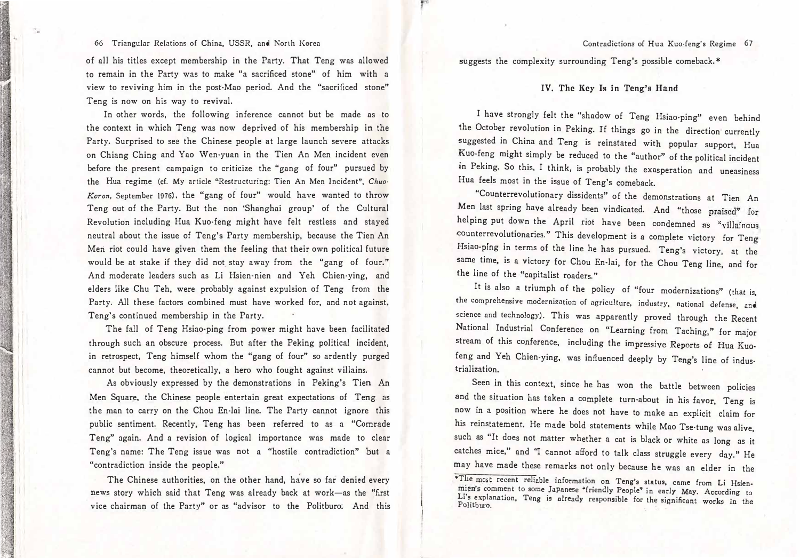### 66 Triangular Relations of China, USSR, and North Korea

of all his titles except membership in the Party. That Teng was allowed to remain in the Party was to make "a sacrificed stone" of him with a view to reviving him in the post-Mao period. And the "sacrificed stone" Teng is now on his way to revival.

In other words, the following inference cannot but be made as to the context in which Teng was now deprived of his membership in the Party. Surprised to see the Chinese people at large launch severe attacks on Chiang Ching and Yao Wen-yuan in the Tien An Men incident even before the present campaign to criticize the "gang of four" pursued by the Hua regime (cf. My article "Restructuring: Tien An Men Incident", Chuo-Koran, September 1976), the "gang of four" would have wanted to throw Teng out of the Party. But the non'Shanghai group' of the Cultural Revolution including Hua Kuo・feng might have felt restless and stayed neutral about the issue of Teng's Party membership, because the Tien An Meri riot could have given them the feeling that their own political future would be at stake if they did not stay away from the "gang of four." And moderate leaders such as Li Hsien-nien and Yeh Chien-ying, and elders like Chu Teh, were probably against expulsion of Teng from the Party. All these factors combined must have worked for, and not against, Teng's continued membership in the Party.

The fall of Teng Hsiao-ping from power might have been facilitated through such an obscure process. But after the Peking political incident, in retrospect, Teng himself whom the "gang of four" so ardently purged cannot but become, theoretically, a hero who fought against villains.

As obviously expressed by the demonstrations in Peking's Tien An Men Square, the Chinese people entertain great expectations of Teng as the man to carry on the Chou En-lai line. The Party cannot ignore this public sentiment. Recently, Teng has been referred to as a "Comrade Teng" again. And a revision of logical importance was made to clear Teng's name: The Teng issue was not a "hostile contradiction" but a "contradiction inside the people."

The Chinese authorities, on the other hand, have so far denied every news story which said that Teng was already back at work-as the "first vice chairman of the Party" or as "advisor to the Politburo. And this Contradictions of Hua Kuo-feng's Regime 67

suggests the complexity surrounding Teng's possible comeback.\*

## IV. The Key Is in Teng'a Hand

I have strongly felt the "shadow of Teng Hsiao・ping" even behind the October revolution in Peking. If things go in the direction currently suggested in China and Teng is reinstated with popular support, Hua Kuo・feng might simply be reduced to the "author" of the political incident in Peking. So this, I think, is probably the exasperation and uneasiness Hua feels most in the issue of Teng's comeback.

"Counterrevolutionary dissidents" of the demonstrations at Tien An Men last spring have already been vindicated. And "those praised" for helping put down the April riot have been condemned as "villainous counterrevolutionaries." This development is a complete victory for Teng Hsiao-ping in terms of the line he has pursued. Teng's victory, at the same time, is a victory for Chou En-lai, for the Chou Teng line, and for the line of the "capitalist roaders."

It is also a triumph of the policy of "four modernizations" (that is, the comprehensive modernization of agriculture, industry, national defense, and science and technology). This was apparently proved through the Recent National Industrial Conference on "Learning from Taching," for major stream of this conference, including the impressive Reports of Hua Kuofeng and Yeh Chien-ying, was influenced deeply by Teng's line of industrialization.

Seen in this context, since he has won the battle between policies and the situation has taken a complete turn-about in his favor, Teng is now in a position where he does not have to make an explicit claim for his reinstatement. He made bold statements while Mao Tse-tung was alive, such as "It does not matter whether a cat is black or white as long as it catches mice," and "I cannot afford to talk class struggle every day." He may have made these remarks not only because he was an elder in the

<sup>\*</sup>The most recent reliable information on Teng's status, came from Li Hsien-<br>mien's comment to some Japanese "friendly People" in early May. According to mien's comment to some Japanese "friendly People" in early May. According to<br>Li's explanation, Teng is already responsible for the significant works in the<br>Politburo,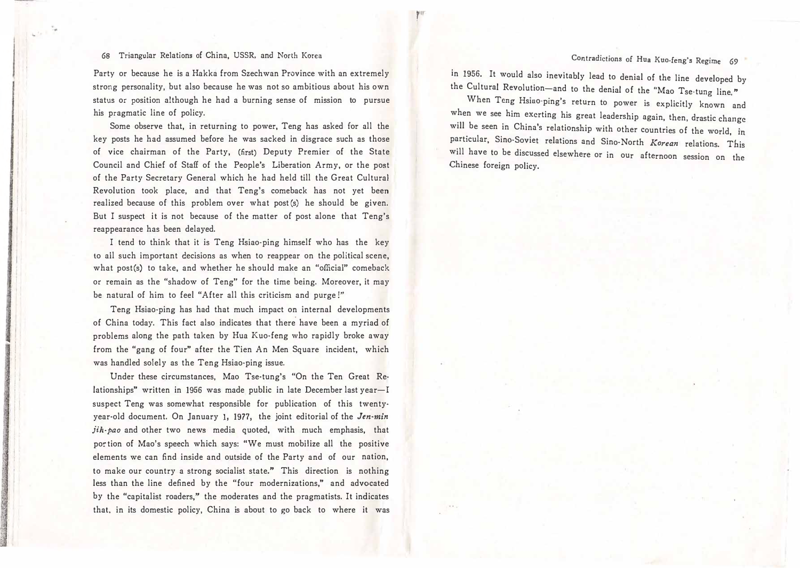# 68 Triangular Relations of China, USSR, and North Korea

.

Party or because he is a Hakka from Szechwan Province with an extremely strong personality, but also because he was not so ambitious about his own status or position although he had a burning sense of mission to pursue his pragmatic line of policy.

Some observe that, in returning to power, Teng has asked for all the key posts he had assumed before he was sacked in disgrace such as those of vice chairman of the Party, (first) Deputy Premier of the State Council and Chief of Staff of the People's Liberation Army, or the post of the Party Secretary General which he had held till the Great Cultural Revolution took place, and that Teng's comeback has not yet been realized because of this problem over what post(s) he should be given. But I suspect it is not because of the matter of post alone that Teng's reappearance has been delayed.

I tend to think that it is Teng Hsiao-ping himself who has the key to all such important decisions as when to reappear on the political scene, what post(s) to take, and whether he should make an "official" comeback or remain as the "shadow of Teng" for the time being. Moreover, it may be natural of him to feel "After all this criticism and purge !"

Teng Hsiao・ping has had that much impact on internal developments of China today. This fact also indicates that there have been a myriad of problems along the path taken by Hua Kuo・feng who rapidly broke away from the "gang of four" after the Tien An Men Square incident, which was handled solely as the Teng Hsiao・ping issue.

Under these circumstances, Mao Tse-tung's "On the Ten Great Relationships" written in 1956 was made public in late December last year-I suspect Teng was somewhat responsible for publication of this twentyyear-old document. On January 1, 1977, the joint editorial of the Jen-min jih-pao and other two news media quoted, with much emphasis, that portion of Mao's speech which says: "We must mobilize all the positive elements we can find inside and outside of the Party and of our nation, to make our country a strong socialist state." This direction is nothing less than the line defined by the "four modernizations," and advocated by the "capitalist roaders," the moderates and the pragmatists. It indicates that. in its domestic policy, China is about to go back to where it was in 1956. It would also inevitably lead to denial of the line developed by the Cultural Revolution-and to the denial of the "Mao Tse-tung line."

f and the first of the control of the control of the control of the control of the control of the control of the control of the control of the control of the control of the control of the control of the control of the cont

When Teng Hsiao-ping's return to power is explicitly known and when we see him exerting his great leadership again, then, drastic change will be seen in China's relationship with other countries of the world, in particular, Sino-Soviet relations and Sino-North Korean relations. This will have to be discussed elsewhere or in our afternoon session on the Chinese foreign policy.